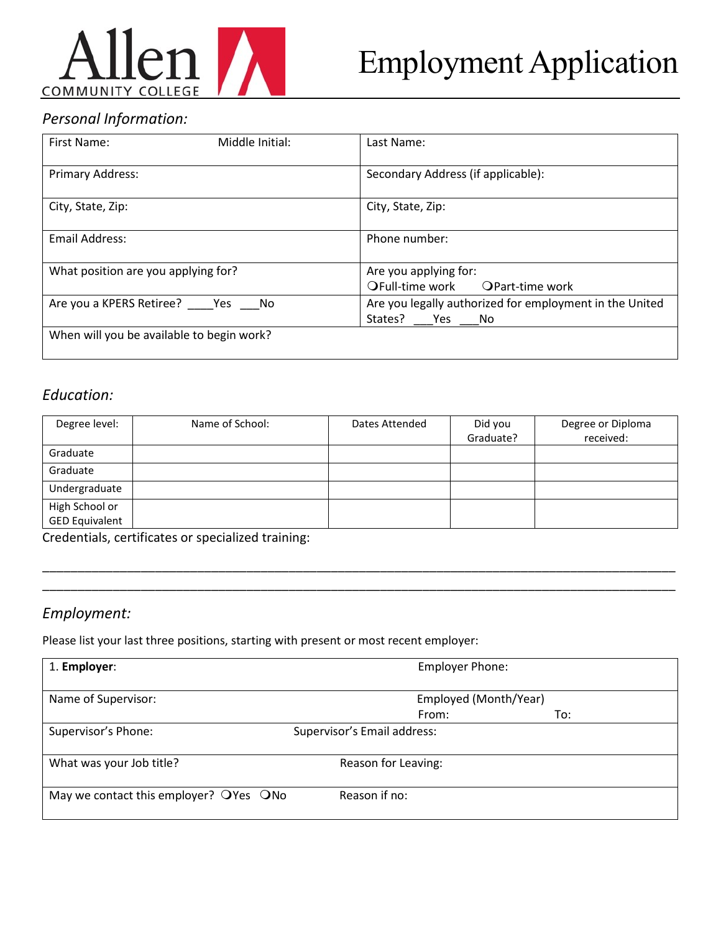

# Employment Application

## *Personal Information:*

| First Name:                               | Middle Initial: | Last Name:                                                                |
|-------------------------------------------|-----------------|---------------------------------------------------------------------------|
| Primary Address:                          |                 | Secondary Address (if applicable):                                        |
| City, State, Zip:                         |                 | City, State, Zip:                                                         |
| <b>Email Address:</b>                     |                 | Phone number:                                                             |
| What position are you applying for?       |                 | Are you applying for:<br>OFull-time work OPart-time work                  |
| Are you a KPERS Retiree? Yes No           |                 | Are you legally authorized for employment in the United<br>States? Yes No |
| When will you be available to begin work? |                 |                                                                           |

#### *Education:*

| Degree level:         | Name of School: | Dates Attended | Did you<br>Graduate? | Degree or Diploma<br>received: |
|-----------------------|-----------------|----------------|----------------------|--------------------------------|
| Graduate              |                 |                |                      |                                |
| Graduate              |                 |                |                      |                                |
| Undergraduate         |                 |                |                      |                                |
| High School or        |                 |                |                      |                                |
| <b>GED Equivalent</b> |                 |                |                      |                                |

\_\_\_\_\_\_\_\_\_\_\_\_\_\_\_\_\_\_\_\_\_\_\_\_\_\_\_\_\_\_\_\_\_\_\_\_\_\_\_\_\_\_\_\_\_\_\_\_\_\_\_\_\_\_\_\_\_\_\_\_\_\_\_\_\_\_\_\_\_\_\_\_\_\_\_\_\_\_\_\_\_\_\_\_\_\_\_\_\_\_ \_\_\_\_\_\_\_\_\_\_\_\_\_\_\_\_\_\_\_\_\_\_\_\_\_\_\_\_\_\_\_\_\_\_\_\_\_\_\_\_\_\_\_\_\_\_\_\_\_\_\_\_\_\_\_\_\_\_\_\_\_\_\_\_\_\_\_\_\_\_\_\_\_\_\_\_\_\_\_\_\_\_\_\_\_\_\_\_\_\_

Credentials, certificates or specialized training:

### *Employment:*

Please list your last three positions, starting with present or most recent employer:

| 1. Employer:                            | <b>Employer Phone:</b>      |     |
|-----------------------------------------|-----------------------------|-----|
| Name of Supervisor:                     | Employed (Month/Year)       |     |
|                                         | From:                       | To: |
| Supervisor's Phone:                     | Supervisor's Email address: |     |
| What was your Job title?                | Reason for Leaving:         |     |
| May we contact this employer? O'Yes ONo | Reason if no:               |     |